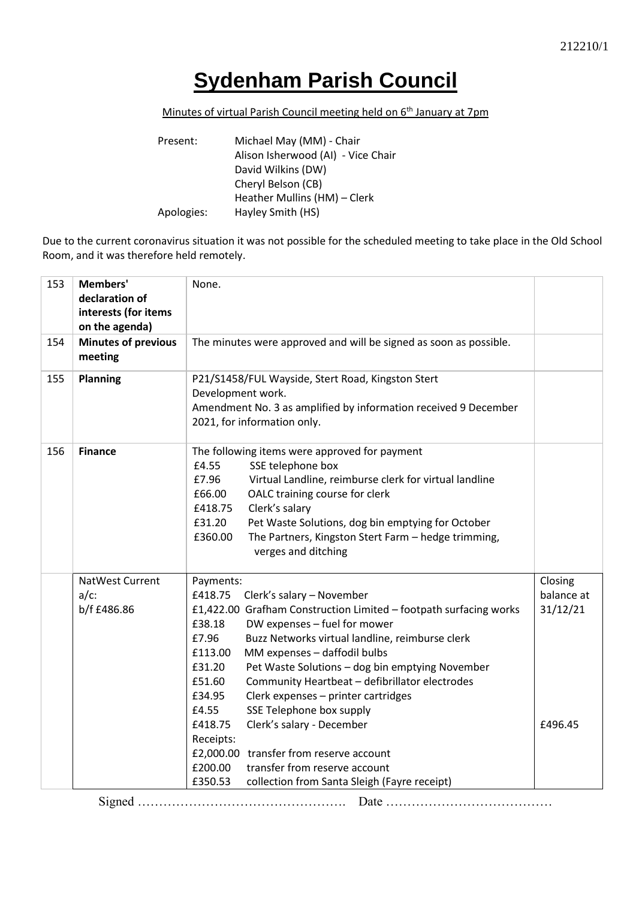## **Sydenham Parish Council**

## Minutes of virtual Parish Council meeting held on 6<sup>th</sup> January at 7pm

| Present:   | Michael May (MM) - Chair           |
|------------|------------------------------------|
|            | Alison Isherwood (AI) - Vice Chair |
|            | David Wilkins (DW)                 |
|            | Cheryl Belson (CB)                 |
|            | Heather Mullins (HM) - Clerk       |
| Apologies: | Hayley Smith (HS)                  |

Due to the current coronavirus situation it was not possible for the scheduled meeting to take place in the Old School Room, and it was therefore held remotely.

| 153 | Members'<br>declaration of<br>interests (for items<br>on the agenda) | None.                                                                                                                                                                                                                                                                                                                                                                                                                                                                                                                                                                                                                                                                                         |                                              |
|-----|----------------------------------------------------------------------|-----------------------------------------------------------------------------------------------------------------------------------------------------------------------------------------------------------------------------------------------------------------------------------------------------------------------------------------------------------------------------------------------------------------------------------------------------------------------------------------------------------------------------------------------------------------------------------------------------------------------------------------------------------------------------------------------|----------------------------------------------|
| 154 | <b>Minutes of previous</b><br>meeting                                | The minutes were approved and will be signed as soon as possible.                                                                                                                                                                                                                                                                                                                                                                                                                                                                                                                                                                                                                             |                                              |
| 155 | <b>Planning</b>                                                      | P21/S1458/FUL Wayside, Stert Road, Kingston Stert<br>Development work.<br>Amendment No. 3 as amplified by information received 9 December<br>2021, for information only.                                                                                                                                                                                                                                                                                                                                                                                                                                                                                                                      |                                              |
| 156 | <b>Finance</b>                                                       | The following items were approved for payment<br>£4.55<br>SSE telephone box<br>£7.96<br>Virtual Landline, reimburse clerk for virtual landline<br>£66.00<br>OALC training course for clerk<br>Clerk's salary<br>£418.75<br>£31.20<br>Pet Waste Solutions, dog bin emptying for October<br>£360.00<br>The Partners, Kingston Stert Farm - hedge trimming,<br>verges and ditching                                                                                                                                                                                                                                                                                                               |                                              |
|     | NatWest Current<br>$a/c$ :<br>b/f £486.86                            | Payments:<br>£418.75<br>Clerk's salary - November<br>£1,422.00 Grafham Construction Limited - footpath surfacing works<br>£38.18<br>DW expenses - fuel for mower<br>£7.96<br>Buzz Networks virtual landline, reimburse clerk<br>£113.00<br>MM expenses - daffodil bulbs<br>£31.20<br>Pet Waste Solutions - dog bin emptying November<br>£51.60<br>Community Heartbeat - defibrillator electrodes<br>£34.95<br>Clerk expenses - printer cartridges<br>£4.55<br>SSE Telephone box supply<br>£418.75<br>Clerk's salary - December<br>Receipts:<br>£2,000.00 transfer from reserve account<br>£200.00<br>transfer from reserve account<br>£350.53<br>collection from Santa Sleigh (Fayre receipt) | Closing<br>balance at<br>31/12/21<br>£496.45 |
|     |                                                                      |                                                                                                                                                                                                                                                                                                                                                                                                                                                                                                                                                                                                                                                                                               |                                              |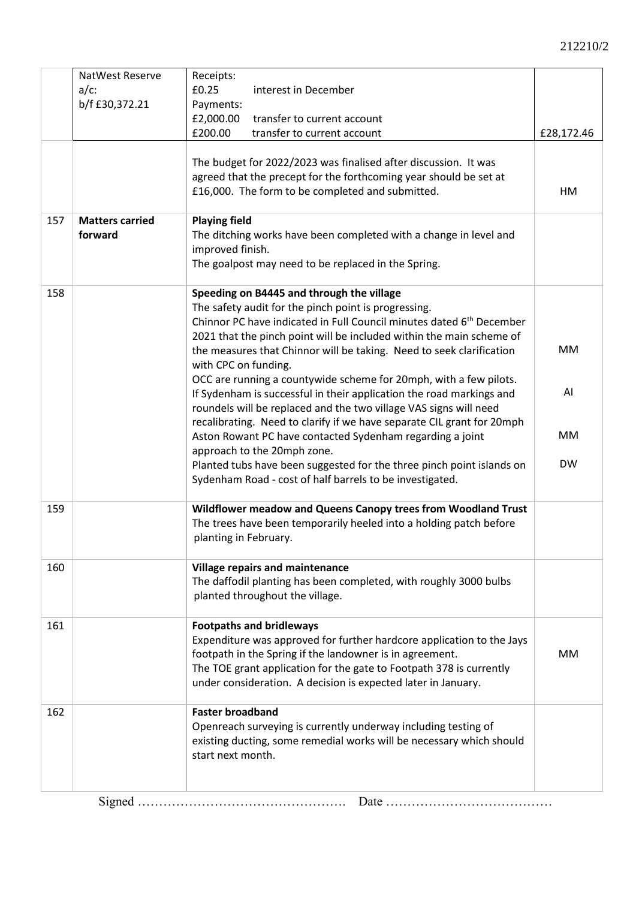|     | NatWest Reserve                   | Receipts:                                                                                                                                                                                                                                                                                                                                                                             |            |
|-----|-----------------------------------|---------------------------------------------------------------------------------------------------------------------------------------------------------------------------------------------------------------------------------------------------------------------------------------------------------------------------------------------------------------------------------------|------------|
|     | $a/c$ :                           | £0.25<br>interest in December                                                                                                                                                                                                                                                                                                                                                         |            |
|     | b/f £30,372.21                    | Payments:                                                                                                                                                                                                                                                                                                                                                                             |            |
|     |                                   | £2,000.00<br>transfer to current account                                                                                                                                                                                                                                                                                                                                              |            |
|     |                                   | £200.00<br>transfer to current account                                                                                                                                                                                                                                                                                                                                                | £28,172.46 |
|     |                                   | The budget for 2022/2023 was finalised after discussion. It was<br>agreed that the precept for the forthcoming year should be set at<br>£16,000. The form to be completed and submitted.                                                                                                                                                                                              | HM         |
|     |                                   |                                                                                                                                                                                                                                                                                                                                                                                       |            |
| 157 | <b>Matters carried</b><br>forward | <b>Playing field</b><br>The ditching works have been completed with a change in level and<br>improved finish.<br>The goalpost may need to be replaced in the Spring.                                                                                                                                                                                                                  |            |
| 158 |                                   | Speeding on B4445 and through the village                                                                                                                                                                                                                                                                                                                                             |            |
|     |                                   | The safety audit for the pinch point is progressing.<br>Chinnor PC have indicated in Full Council minutes dated 6 <sup>th</sup> December<br>2021 that the pinch point will be included within the main scheme of<br>the measures that Chinnor will be taking. Need to seek clarification<br>with CPC on funding.<br>OCC are running a countywide scheme for 20mph, with a few pilots. | <b>MM</b>  |
|     |                                   | If Sydenham is successful in their application the road markings and<br>roundels will be replaced and the two village VAS signs will need<br>recalibrating. Need to clarify if we have separate CIL grant for 20mph                                                                                                                                                                   | AI         |
|     |                                   | Aston Rowant PC have contacted Sydenham regarding a joint<br>approach to the 20mph zone.                                                                                                                                                                                                                                                                                              | <b>MM</b>  |
|     |                                   | Planted tubs have been suggested for the three pinch point islands on<br>Sydenham Road - cost of half barrels to be investigated.                                                                                                                                                                                                                                                     | <b>DW</b>  |
| 159 |                                   | Wildflower meadow and Queens Canopy trees from Woodland Trust                                                                                                                                                                                                                                                                                                                         |            |
|     |                                   | The trees have been temporarily heeled into a holding patch before<br>planting in February.                                                                                                                                                                                                                                                                                           |            |
| 160 |                                   | Village repairs and maintenance<br>The daffodil planting has been completed, with roughly 3000 bulbs<br>planted throughout the village.                                                                                                                                                                                                                                               |            |
| 161 |                                   | <b>Footpaths and bridleways</b>                                                                                                                                                                                                                                                                                                                                                       |            |
|     |                                   | Expenditure was approved for further hardcore application to the Jays<br>footpath in the Spring if the landowner is in agreement.<br>The TOE grant application for the gate to Footpath 378 is currently<br>under consideration. A decision is expected later in January.                                                                                                             | MM         |
| 162 |                                   | <b>Faster broadband</b>                                                                                                                                                                                                                                                                                                                                                               |            |
|     |                                   | Openreach surveying is currently underway including testing of<br>existing ducting, some remedial works will be necessary which should<br>start next month.                                                                                                                                                                                                                           |            |
|     |                                   |                                                                                                                                                                                                                                                                                                                                                                                       |            |